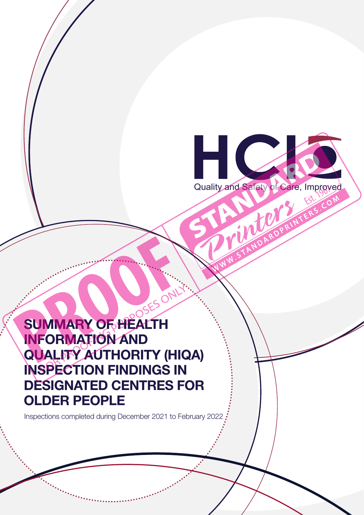HCIO Quality and Safety of Care, Improved

# SUMMARY OF HEALTH INFORMATION AND QUALITY AUTHORITY (HIQA) INSPECTION FINDINGS IN DESIGNATED CENTRES FOR OLDER PEOPLE

Inspections completed during December 2021 to February 2022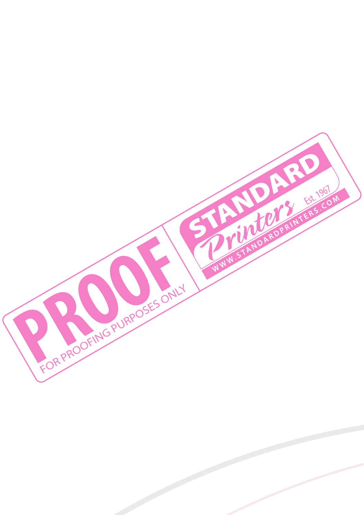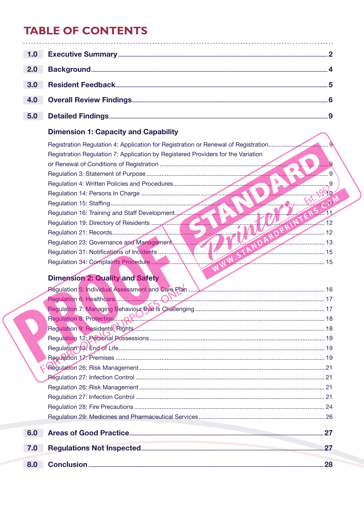# **TABLE OF CONTENTS**

| 2.0 |  |
|-----|--|
| 3.0 |  |
|     |  |
|     |  |
|     |  |

#### **Dimension 1: Capacity and Capability**

| Registration Regulation 7: Application by Registered Providers for the Variation |  |
|----------------------------------------------------------------------------------|--|
|                                                                                  |  |
|                                                                                  |  |
|                                                                                  |  |
|                                                                                  |  |
|                                                                                  |  |
|                                                                                  |  |
|                                                                                  |  |
|                                                                                  |  |
|                                                                                  |  |
|                                                                                  |  |
|                                                                                  |  |

#### **Dimension 2: Quality and Safety**

| 6.0 |     |
|-----|-----|
| 7.0 | .27 |
|     |     |
| 8.0 |     |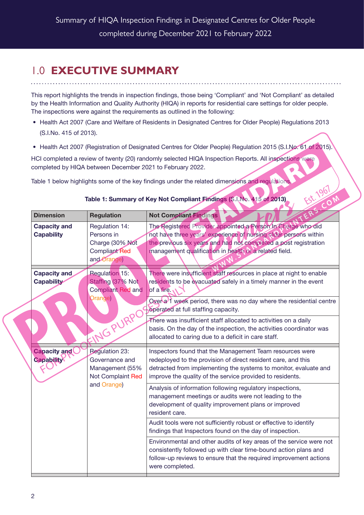# 1.0 **EXECUTIVE SUMMARY**

This report highlights the trends in inspection findings, those being 'Compliant' and 'Not Compliant' as detailed by the Health Information and Quality Authority (HIQA) in reports for residential care settings for older people. The inspections were against the requirements as outlined in the following:

- Health Act 2007 (Care and Welfare of Residents in Designated Centres for Older People) Regulations 2013 (S.I.No. 415 of 2013).
- Health Act 2007 (Registration of Designated Centres for Older People) Regulation 2015 (S.I.No. 61 of 2015).

HCI completed a review of twenty (20) randomly selected HIQA Inspection Reports. All inspections were completed by HIQA between December 2021 to February 2022.

Table 1 below highlights some of the key findings under the related dimensions and regulations.

| <b>Dimension</b>                         | <b>Regulation</b>                                                                      | <b>Not Compliant Findings</b>                                                                                                                                                                                                                                  |
|------------------------------------------|----------------------------------------------------------------------------------------|----------------------------------------------------------------------------------------------------------------------------------------------------------------------------------------------------------------------------------------------------------------|
| <b>Capacity and</b><br><b>Capability</b> | Regulation 14:<br>Persons in<br>Charge (30% Not<br><b>Compliant Red</b><br>and Orange) | The Registered Provider appointed a Person In Charge who did<br>not have three years' experience of nursing older persons within<br>the previous six years and had not completed a post registration<br>management qualification in health or a related field. |
| <b>Capacity and</b><br><b>Capability</b> | Regulation 15:<br>Staffing (37% Not<br>Compliant Red and                               | There were insufficient staff resources in place at night to enable<br>residents to be evacuated safely in a timely manner in the event<br>of a fire.                                                                                                          |
|                                          | Orange)                                                                                | Over a 1 week period, there was no day where the residential centre<br>operated at full staffing capacity.                                                                                                                                                     |
|                                          |                                                                                        | There was insufficient staff allocated to activities on a daily<br>basis. On the day of the inspection, the activities coordinator was<br>allocated to caring due to a deficit in care staff.                                                                  |
| <b>Capacity and</b><br><b>Capability</b> | Regulation 23:<br>Governance and<br>Management (55%<br>Not Complaint Red               | Inspectors found that the Management Team resources were<br>redeployed to the provision of direct resident care, and this<br>detracted from implementing the systems to monitor, evaluate and<br>improve the quality of the service provided to residents.     |
|                                          | and Orange)                                                                            | Analysis of information following regulatory inspections,<br>management meetings or audits were not leading to the<br>development of quality improvement plans or improved<br>resident care.                                                                   |
|                                          |                                                                                        | Audit tools were not sufficiently robust or effective to identify<br>findings that Inspectors found on the day of inspection.                                                                                                                                  |
|                                          |                                                                                        | Environmental and other audits of key areas of the service were not<br>consistently followed up with clear time-bound action plans and<br>follow-up reviews to ensure that the required improvement actions<br>were completed.                                 |

#### Table 1: Summary of Key Not Compliant Findings (S.I.No. 415 of 2013)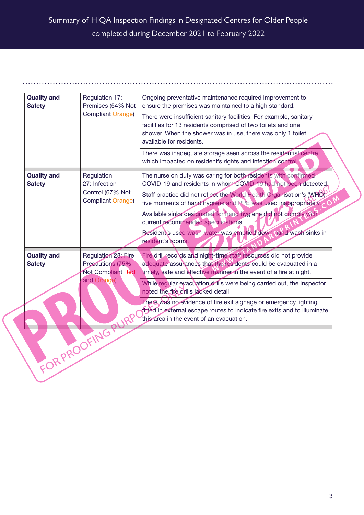| <b>Quality and</b><br><b>Safety</b> | Regulation 17:<br>Premises (54% Not<br><b>Compliant Orange)</b>             | Ongoing preventative maintenance required improvement to<br>ensure the premises was maintained to a high standard.<br>There were insufficient sanitary facilities. For example, sanitary<br>facilities for 13 residents comprised of two toilets and one<br>shower. When the shower was in use, there was only 1 toilet<br>available for residents.<br>There was inadequate storage seen across the residential centre |
|-------------------------------------|-----------------------------------------------------------------------------|------------------------------------------------------------------------------------------------------------------------------------------------------------------------------------------------------------------------------------------------------------------------------------------------------------------------------------------------------------------------------------------------------------------------|
|                                     |                                                                             | which impacted on resident's rights and infection control.                                                                                                                                                                                                                                                                                                                                                             |
| <b>Quality and</b><br><b>Safety</b> | Regulation<br>27: Infection<br>Control (67% Not<br><b>Compliant Orange)</b> | The nurse on duty was caring for both residents with confirmed<br>COVID-19 and residents in whom COVID-19 had not been detected.                                                                                                                                                                                                                                                                                       |
|                                     |                                                                             | Staff practice did not reflect the World Health Organisation's (WHO)<br>five moments of hand hygiene and PPE was used inappropriately.                                                                                                                                                                                                                                                                                 |
|                                     |                                                                             | Available sinks designated for hand hygiene did not comply with<br>current recommended specifications.                                                                                                                                                                                                                                                                                                                 |
|                                     |                                                                             | Resident's used wash-water was emptied down hand wash sinks in<br>resident's rooms.                                                                                                                                                                                                                                                                                                                                    |
| <b>Quality and</b><br><b>Safety</b> | Regulation 28: Fire<br>Precautions (75%<br>Not Compliant Red<br>and Orange) | Fire drill records and night-time staff resources did not provide<br>adequate assurances that the residents could be evacuated in a<br>timely, safe and effective manner in the event of a fire at night.                                                                                                                                                                                                              |
|                                     |                                                                             | While regular evacuation drills were being carried out, the Inspector<br>noted the fire drills lacked detail.                                                                                                                                                                                                                                                                                                          |
|                                     |                                                                             | There was no evidence of fire exit signage or emergency lighting<br>fitted in external escape routes to indicate fire exits and to illuminate<br>this area in the event of an evacuation.                                                                                                                                                                                                                              |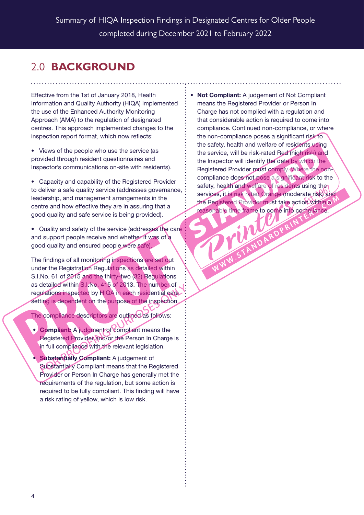# 2.0 **BACKGROUND**

Effective from the 1st of January 2018, Health Information and Quality Authority (HIQA) implemented the use of the Enhanced Authority Monitoring Approach (AMA) to the regulation of designated centres. This approach implemented changes to the inspection report format, which now reflects:

• Views of the people who use the service (as provided through resident questionnaires and Inspector's communications on-site with residents).

• Capacity and capability of the Registered Provider to deliver a safe quality service (addresses governance, leadership, and management arrangements in the centre and how effective they are in assuring that a good quality and safe service is being provided).

• Quality and safety of the service (addresses the care and support people receive and whether it was of a good quality and ensured people were safe).

The findings of all monitoring inspections are set out under the Registration Regulations as detailed within S.I.No. 61 of 2015 and the thirty-two (32) Regulations as detailed within S.I.No. 415 of 2013. The number of regulations inspected by HIQA in each residential care setting is dependent on the purpose of the inspection.

The compliance descriptors are outlined as follows:

- Compliant: A judgment of compliant means the Registered Provider and/or the Person In Charge is in full compliance with the relevant legislation.
- Substantially Compliant: A judgement of Substantially Compliant means that the Registered Provider or Person In Charge has generally met the requirements of the regulation, but some action is required to be fully compliant. This finding will have a risk rating of yellow, which is low risk.

• Not Compliant: A judgement of Not Compliant means the Registered Provider or Person In Charge has not complied with a regulation and that considerable action is required to come into compliance. Continued non-compliance, or where the non-compliance poses a significant risk to the safety, health and welfare of residents using the service, will be risk-rated Red (high risk) and the Inspector will identify the date by which the Registered Provider must comply. Where the noncompliance does not pose a significant risk to the safety, health and welfare of residents using the services, it is risk rated Orange (moderate risk) and the Registered Provider must take action within a reasonable time frame to come into compliance.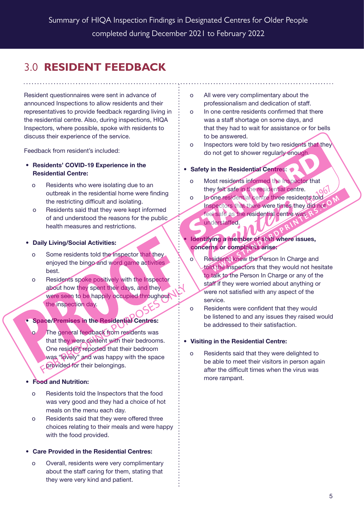# 3.0 **RESIDENT FEEDBACK**

Resident questionnaires were sent in advance of announced Inspections to allow residents and their representatives to provide feedback regarding living in the residential centre. Also, during inspections, HIQA Inspectors, where possible, spoke with residents to discuss their experience of the service.

Feedback from resident's included:

- Residents' COVID-19 Experience in the Residential Centre:
	- o Residents who were isolating due to an outbreak in the residential home were finding the restricting difficult and isolating.
	- o Residents said that they were kept informed of and understood the reasons for the public health measures and restrictions.
- Daily Living/Social Activities:
	- o Some residents told the Inspector that they enjoyed the bingo and word game activities best.
	- o Residents spoke positively with the Inspector about how they spent their days, and they were seen to be happily occupied throughout the inspection day.
- Space/Premises in the Residential Centres:
	- o The general feedback from residents was that they were content with their bedrooms. One resident reported that their bedroom was "lovely" and was happy with the space provided for their belongings.
- Food and Nutrition:
	- o Residents told the Inspectors that the food was very good and they had a choice of hot meals on the menu each day.
	- o Residents said that they were offered three choices relating to their meals and were happy with the food provided.

#### • Care Provided in the Residential Centres:

o Overall, residents were very complimentary about the staff caring for them, stating that they were very kind and patient.

- o All were very complimentary about the professionalism and dedication of staff.
- o In one centre residents confirmed that there was a staff shortage on some days, and that they had to wait for assistance or for bells to be answered.

o Inspectors were told by two residents that they do not get to shower regularly enough.

#### • Safety in the Residential Centres:

- o Most residents informed the Inspector that they felt safe in the residential centre.
- o In one residential centre three residents told Inspectors that there were times they did not feel safe as the residential centre was understaffed.

#### • Identifying a member of staff where issues, concerns or complaints arise:

- o Residents knew the Person In Charge and told the Inspectors that they would not hesitate to talk to the Person In Charge or any of the staff if they were worried about anything or were not satisfied with any aspect of the service.
- o Residents were confident that they would be listened to and any issues they raised would be addressed to their satisfaction.

#### • Visiting in the Residential Centre:

o Residents said that they were delighted to be able to meet their visitors in person again after the difficult times when the virus was more rampant.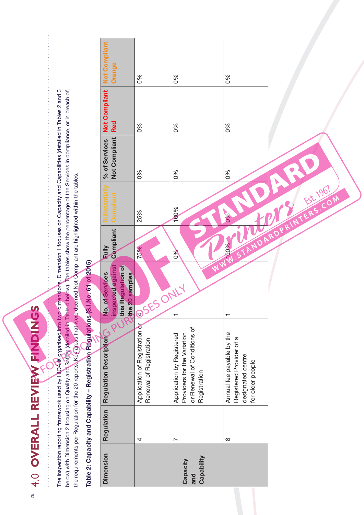4.0 **OVERALL REVIEW FINDINGS**  $^{\circ}$  4.0 OVERALL REVIEW FINDINGS The inspection reporting framework used by HIQA is organised into two dimensions. Dimension 1 focuses on Capacity and Capabilities (detailed in Tables 2 and 3 The inspection reporting framework used by HIQA is organised into two dimensions. Dimension 1 focuses on Capacity and Capabilities (detailed in Tables 2 and 3 below) with Dimension 2 focusing on Quality and Safety (detailed in Table 4 below). The tables show the percentage of the Services in compliance, or in breach of, below) with Dimension 2 focusing on Quality and Safety (detailed in Table 4 below). The tables show the percentage of the Services in compliance, or in breach of, the requirements per Regulation for the 20 reports. Key areas that were deemed Not Compliant are highlighted within the tables. the requirements per Regulation for the 20 reports. Key areas that were deemed Not Compliant are highlighted within the tables.

# Table 2: Capacity and Capability – Registration Regulations (S.I.No. 61 of 2015) Table 2: Capacity and Capability - Registration Regulations (S.I.No. 61 of 2015)

| % of Services   Not Compliant   Not Compliant<br>Orange                          | 0%                                                        | 0%                                                                                                      | 0%                                                                                             |
|----------------------------------------------------------------------------------|-----------------------------------------------------------|---------------------------------------------------------------------------------------------------------|------------------------------------------------------------------------------------------------|
| Not Compliant   Red                                                              | 0%<br>0%                                                  | 0%<br>0%                                                                                                | 0%<br>60%                                                                                      |
| <b>Substantially</b><br><b>Compliant</b>                                         | 25%                                                       | 100%                                                                                                    | 0%                                                                                             |
| Compliant<br><b>Fully</b>                                                        | 75%                                                       | 0%                                                                                                      | 100%                                                                                           |
| spected against<br>this Regulation of<br>No. of Services<br>the 20 samples<br>르. | 4                                                         |                                                                                                         |                                                                                                |
| <b>Regulation Description</b>                                                    | Application of Registration or<br>Renewal of Registration | or Renewal of Conditions of<br>Providers for the Variation<br>Application by Registered<br>Registration | Annual fee payable by the<br>Registered Provider of a<br>designated centre<br>for older people |
| Regulation                                                                       | 4                                                         |                                                                                                         | ∞                                                                                              |
| <b>Dimension</b>                                                                 |                                                           | Capability<br>Capacity<br>and                                                                           |                                                                                                |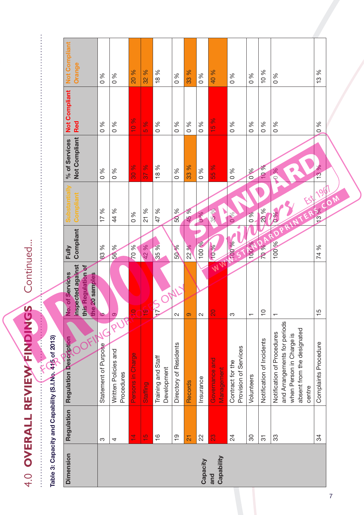4.0 OVERALL REVIEW FINDINGS Continued... 4.0 **OVERALL REVIEW FINDINGS** Continued...

# Table 3: Capacity and Capability (S.I.No. 415 of 2013) Table 3: Capacity and Capability (S.I.No. 415 of 2013)

| <b>Dimension</b>  |                          | Regulation   Regulation Description                                                                                            | <b>No. of Services</b>                                         | Fully     | Substantially | % of Services              | Not Compliant                    | <b>Not Compliant</b>       |
|-------------------|--------------------------|--------------------------------------------------------------------------------------------------------------------------------|----------------------------------------------------------------|-----------|---------------|----------------------------|----------------------------------|----------------------------|
|                   |                          |                                                                                                                                | nspected against<br><b>his Regulation of</b><br>the 20 samples | Compliant | Compliant     | Not Compliant              | Red                              | <b>Orange</b>              |
|                   | က                        | Statement of Purpose                                                                                                           | $\bm{\omega}$                                                  | 83 %      | 17 %          | $\%$<br>$\circ$            | $\%$ 0                           | $\%$<br>$\circ$            |
|                   | 4                        | Written Policies and<br>Procedures                                                                                             | ပာ                                                             | ℅<br>56   | 44 %          | $\%$ 0                     | $\%$ 0                           | $\%$ 0                     |
|                   | 혼                        | Persons in Charge                                                                                                              | $\bigcirc$                                                     | 70 %      | %<br>0        | <b>30 %</b>                | $\aleph$<br>$\frac{1}{\sqrt{2}}$ | 20 %                       |
|                   | $\frac{5}{1}$            | Staffing                                                                                                                       | $\circ$                                                        | 42 %      | 21 %          | 37 %                       | 5 %                              | $\%$<br>32                 |
|                   | $\frac{6}{1}$            | Training and Staff<br>Development                                                                                              | $\overline{1}$                                                 | ℅<br>35   | %<br>47       | %<br>$\frac{\infty}{\tau}$ | %<br>$\circ$                     | %<br>$\frac{\infty}{\tau}$ |
|                   | $\frac{1}{2}$            | Directory of Residents                                                                                                         | Q                                                              | 50 %      | 50 %          | $\%$ 0                     | $\%$ 0                           | $\%$ 0                     |
|                   | $\overline{\mathcal{N}}$ | <b>Records</b>                                                                                                                 | Ο)                                                             | 22 %      | 45 %          | 33 %                       | % 0                              | 33 %                       |
| Capacity          | 22                       | Insurance                                                                                                                      | $\mathbf{C}$                                                   | 100 %     | $\%$ 0        | $\%$ 0                     | % 0                              | $\%$ 0                     |
| Capability<br>and | $\mathbb{S}^2$           | Governance and<br>Management                                                                                                   | 20                                                             | 10 %      | 35 %          | 55 %                       | $\mathcal{S}_{\mathsf{G}}$<br>띺  | 40 %                       |
|                   | 24                       | Provision of Services<br>Contract for the                                                                                      | ຕ                                                              | 100 %     | %<br>$\circ$  | $\%$ 0                     | $\%$ 0                           | %<br>$\circ$               |
|                   | 80                       | Volunteers                                                                                                                     |                                                                | 100 %     | $\%$ 0        | $\%$ 0                     | $\frac{96}{6}$                   | $\%$ 0                     |
|                   | $\overline{5}$           | Notification of Incidents                                                                                                      | $\circ$                                                        | 70 %      | 20 %          | 10 %                       | $\%$<br>$\circ$                  | 10 %                       |
|                   | 33                       | and Arrangements for periods<br>absent from the designated<br>Notification of Procedures<br>when Person in Charge is<br>centre |                                                                | 100 %     | $\%$ 0        | $\%$ 0                     | $\%$ 0                           | $\%$ 0                     |
|                   | ನೆ                       | Complaints Procedure                                                                                                           | 5                                                              | 74 %      | 13 %          | 13 %                       | $\%$ 0                           | 13 %                       |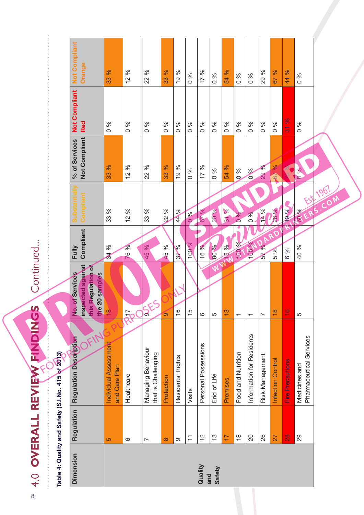4.0 **OVERALL REVIEW FINDINGS** Continued... <sup>20</sup> 4.0 OVERALL REVIEW FINDINGS Continued... # Table 4: Quality and Safety (S.I.No. 415 of 2013) Table 4: Quality and Safety (S.I.No. 415 of 2013)

| <b>Dimension</b> | Regulation               | <b>Regulation Description</b>             | inspected against<br>No. of Services | Compliant<br>Fully    | Compliant          | Not Compliant<br>% of Services | Not Compliant<br>Red       | <b>Not Compliant</b><br><b>Drange</b> |
|------------------|--------------------------|-------------------------------------------|--------------------------------------|-----------------------|--------------------|--------------------------------|----------------------------|---------------------------------------|
|                  |                          |                                           | his Regulation of<br>he 20 samples   |                       |                    |                                |                            |                                       |
|                  | S                        | Individual Assessment<br>and Care Plan    | $\infty$                             | 34 %                  | 33 %               | 33 %                           | $\%0$                      | 33 %                                  |
|                  | $\circ$                  | Healthcare                                | $\overline{1}$                       | 76 %                  | %<br>$\frac{2}{1}$ | $\%$<br>$\frac{1}{2}$          | $\%0$                      | $\%$<br>$\frac{1}{2}$                 |
|                  | $\overline{ }$           | Managing Behaviour<br>that is Challenging | တ                                    | 45 %                  | 33 %               | 22 %                           | $\%$ 0                     | %<br>22                               |
|                  | $\infty$                 | Protection                                | <u> တ</u>                            | 45 %                  | 22 %               | $\%$<br>က္တ                    | $\%$ 0                     | $\%$<br>က္တ                           |
|                  | တ                        | Residents' Rights                         | G<br>┯                               | 37 %                  | 44 %               | 19 %                           | ℅<br>$\circ$               | 19 %                                  |
|                  | Ξ                        | Visits                                    | 5<br>τ                               | 100 %                 | $\%$ 0             | $\%$ 0                         | $\%$ 0                     | $\%$ 0                                |
| Quality          | $\frac{1}{2}$            | Personal Possessions                      | 0                                    | $\%$<br>$\frac{6}{1}$ | 67 %               | 17 %                           | $\%$ 0                     | 17 %                                  |
| Safety<br>and    | က္                       | End of Life                               | ယ                                    | 80 %                  | 20 %               | $\%$ 0                         | ℅<br>$\circ$               | $\%$ 0                                |
|                  | $\overline{17}$          | Premises                                  | က<br>┯                               | 15 %                  | 31 %               | 54 %                           | $\%$ 0                     | 54 %                                  |
|                  | $\frac{8}{10}$           | Food and Nutrition                        | ┯                                    | 100 %                 | $\%$ 0             | $\%$ 0                         | $\%$ 0                     | $\%$ 0                                |
|                  | $\overline{\mathcal{S}}$ | Information for Residents                 | ۳                                    | 100 %                 | $\%$ 0             | $\%$ 0                         | %<br>$\circ$               | $\%$ 0                                |
|                  | 26                       | Risk Management                           | $\sim$                               | 57 %                  | 14 %               | 29 %                           | $\%$<br>$\circ$            | 29 %                                  |
|                  | 27                       | <b>Infection Control</b>                  | $\infty$<br>┯                        | %<br>5                | ℅<br>$\frac{8}{2}$ | $\%$<br>67                     | ℅<br>$\circ$               | $\%$<br>67                            |
|                  | $\frac{8}{2}$            | <b>Fire Precautions</b>                   | $\circ$                              | %<br>$\circ$          | ℅<br>$\frac{1}{2}$ | $\aleph$<br>75                 | $\aleph$<br>$\overline{5}$ | 44 %                                  |
|                  | 29                       | Pharmaceutical Services<br>Medicines and  | ယ                                    | 40 %                  | 60 %               | 8<br>0 %                       | $\%0$                      | 8<br>0 %                              |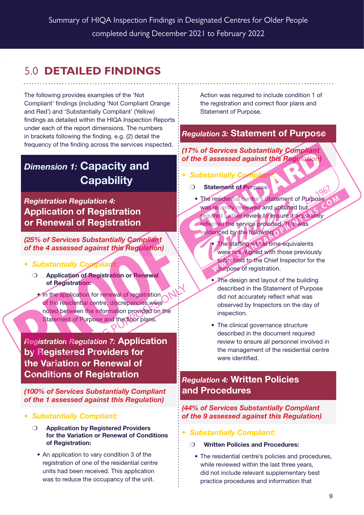# 5.0 **DETAILED FINDINGS**

The following provides examples of the 'Not Compliant' findings (including 'Not Compliant Orange and Red') and 'Substantially Compliant' (Yellow) findings as detailed within the HIQA Inspection Reports under each of the report dimensions. The numbers in brackets following the finding, e.g. (2) detail the frequency of the finding across the services inspected.

# *Dimension 1:* Capacity and **Capability**

# *Registration Regulation 4:* Application of Registration or Renewal of Registration

*(25% of Services Substantially Compliant of the 4 assessed against this Regulation)*

#### *• Substantially Compliant:*

- ❍ Application of Registration or Renewal of Registration:
	- In the application for renewal of registration of the residential centre, discrepancies were noted between the information provided on the Statement of Purpose and the floor plans.

*Registration Regulation 7:* Application by Registered Providers for the Variation or Renewal of Conditions of Registration

*(100% of Services Substantially Compliant of the 1 assessed against this Regulation)*

- *• Substantially Compliant:*
	- O Application by Registered Providers for the Variation or Renewal of Conditions of Registration:
		- An application to vary condition 3 of the registration of one of the residential centre units had been received. This application was to reduce the occupancy of the unit.

Action was required to include condition 1 of the registration and correct floor plans and Statement of Purpose.

#### *Regulation 3:* Statement of Purpose

#### *(17% of Services Substantially Compliant of the 6 assessed against this Regulation)*

#### *• Substantially Compliant:*

- ❍ Statement of Purpose:
	- The residential centre's Statement of Purpose was recently reviewed and updated but required further review to ensure it accurately reflected the service provided. This was evidenced by the following:
		- The staffing whole time equivalents were not aligned with those previously submitted to the Chief Inspector for the purpose of registration.
		- The design and layout of the building described in the Statement of Purpose did not accurately reflect what was observed by Inspectors on the day of inspection.
		- The clinical governance structure described in the document required review to ensure all personnel involved in the management of the residential centre were identified.

# *Regulation 4:* Written Policies and Procedures

*(44% of Services Substantially Compliant of the 9 assessed against this Regulation)* 

- *• Substantially Compliant:*
	- O Written Policies and Procedures:
		- The residential centre's policies and procedures, while reviewed within the last three years, did not include relevant supplementary best practice procedures and information that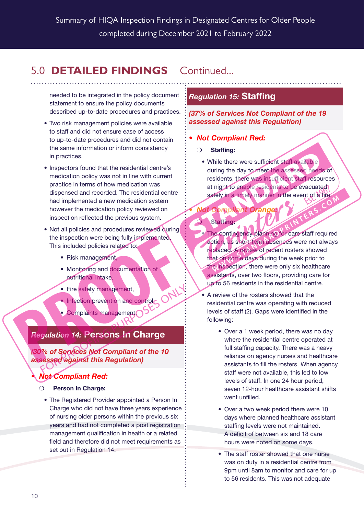needed to be integrated in the policy document statement to ensure the policy documents described up-to-date procedures and practices.

- Two risk management policies were available to staff and did not ensure ease of access to up-to-date procedures and did not contain the same information or inform consistency in practices.
- Inspectors found that the residential centre's medication policy was not in line with current practice in terms of how medication was dispensed and recorded. The residential centre had implemented a new medication system however the medication policy reviewed on inspection reflected the previous system.
- Not all policies and procedures reviewed during the inspection were being fully implemented. This included policies related to:
	- Risk management,
	- Monitoring and documentation of nutritional intake,
	- Fire safety management,
	- Infection prevention and control,
	- Complaints management.

#### *Regulation 14:* Persons In Charge

*(30% of Services Not Compliant of the 10 assessed against this Regulation)* 

#### *• Not Compliant Red:*

- O Person In Charge:
	- The Registered Provider appointed a Person In Charge who did not have three years experience of nursing older persons within the previous six years and had not completed a post registration management qualification in health or a related field and therefore did not meet requirements as set out in Regulation 14.

#### *Regulation 15:* Staffing

#### *(37% of Services Not Compliant of the 19 assessed against this Regulation)*

#### *• Not Compliant Red:*

#### ❍ Staffing:

• While there were sufficient staff available during the day to meet the assessed needs of residents, there was insufficient staff resources at night to enable residents to be evacuated safely in a timely manner in the event of a fire.

#### *• Not Compliant Orange:*

#### ❍ Staffing:

- The contingency planning for care staff required action, as short-term absences were not always replaced. A review of recent rosters showed that on some days during the week prior to the inspection, there were only six healthcare assistants, over two floors, providing care for up to 56 residents in the residential centre.
- A review of the rosters showed that the residential centre was operating with reduced levels of staff (2). Gaps were identified in the following:
	- Over a 1 week period, there was no day where the residential centre operated at full staffing capacity. There was a heavy reliance on agency nurses and healthcare assistants to fill the rosters. When agency staff were not available, this led to low levels of staff. In one 24 hour period, seven 12-hour healthcare assistant shifts went unfilled.
	- Over a two week period there were 10 days where planned healthcare assistant staffing levels were not maintained. A deficit of between six and 18 care hours were noted on some days.
	- The staff roster showed that one nurse was on duty in a residential centre from 9pm until 8am to monitor and care for up to 56 residents. This was not adequate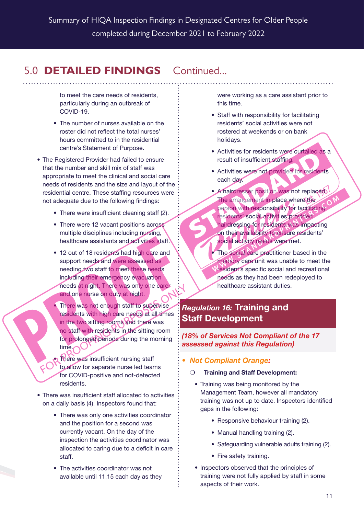to meet the care needs of residents, particularly during an outbreak of COVID-19.

- The number of nurses available on the roster did not reflect the total nurses' hours committed to in the residential centre's Statement of Purpose.
- The Registered Provider had failed to ensure that the number and skill mix of staff was appropriate to meet the clinical and social care needs of residents and the size and layout of the residential centre. These staffing resources were not adequate due to the following findings:
	- There were insufficient cleaning staff (2).
	- There were 12 vacant positions across multiple disciplines including nursing, healthcare assistants and activities staff.
	- 12 out of 18 residents had high care and support needs and were assessed as needing two staff to meet these needs including their emergency evacuation needs at night. There was only one carer and one nurse on duty at night.
	- There was not enough staff to supervise residents with high care needs at all times in the two sitting rooms and there was no staff with residents in the sitting room for prolonged periods during the morning time.
	- There was insufficient nursing staff to allow for separate nurse led teams for COVID-positive and not-detected residents.
- There was insufficient staff allocated to activities on a daily basis (4). Inspectors found that:
	- There was only one activities coordinator and the position for a second was currently vacant. On the day of the inspection the activities coordinator was allocated to caring due to a deficit in care staff.
	- The activities coordinator was not available until 11.15 each day as they

were working as a care assistant prior to this time.

- Staff with responsibility for facilitating residents' social activities were not rostered at weekends or on bank holidays.
- Activities for residents were curtailed as a result of insufficient staffing.
- Activities were not provided for residents each day.
- A hairdresser position was not replaced. The arrangement in place where the person with responsibility for facilitating residents' social activities provided hairdressing for residents was impacting on their availability to ensure residents' social activity needs were met.
- The social care practitioner based in the memory care unit was unable to meet the resident's specific social and recreational needs as they had been redeployed to healthcare assistant duties.

#### *Regulation 16:* Training and Staff Development

#### *(18% of Services Not Compliant of the 17 assessed against this Regulation)*

- ❍ Training and Staff Development:
	- Training was being monitored by the Management Team, however all mandatory training was not up to date. Inspectors identified gaps in the following:
		- Responsive behaviour training (2).
		- Manual handling training (2).
		- Safeguarding vulnerable adults training (2).
		- Fire safety training.
	- Inspectors observed that the principles of training were not fully applied by staff in some aspects of their work.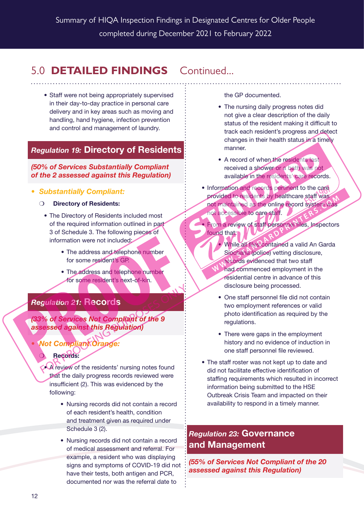• Staff were not being appropriately supervised in their day-to-day practice in personal care delivery and in key areas such as moving and handling, hand hygiene, infection prevention and control and management of laundry.

#### *Regulation 19:* Directory of Residents

*(50% of Services Substantially Compliant of the 2 assessed against this Regulation)* 

- *• Substantially Compliant:*
	- O Directory of Residents:
		- The Directory of Residents included most of the required information outlined in part 3 of Schedule 3. The following pieces of information were not included:
			- The address and telephone number for some resident's GP.
			- The address and telephone number for some resident's next-of-kin.

#### *Regulation 21:* Records

*(33% of Services Not Compliant of the 9 assessed against this Regulation)*

#### *• Not Compliant Orange:*

- ❍ Records:
	- A review of the residents' nursing notes found that the daily progress records reviewed were insufficient (2). This was evidenced by the following:
		- Nursing records did not contain a record of each resident's health, condition and treatment given as required under Schedule 3 (2).
		- Nursing records did not contain a record of medical assessment and referral. For example, a resident who was displaying signs and symptoms of COVID-19 did not have their tests, both antigen and PCR, documented nor was the referral date to

the GP documented.

- The nursing daily progress notes did not give a clear description of the daily status of the resident making it difficult to track each resident's progress and detect changes in their health status in a timely manner.
- A record of when the residents last received a shower or a bath was not available in the residents' care records.
- Information and records pertinent to the care provided to residents by healthcare staff was not maintained as the online record system was not accessible to care staff.
- From a review of staff personnel files, Inspectors found that:
	- While all files contained a valid An Garda Síochána (police) vetting disclosure, records evidenced that two staff had commenced employment in the residential centre in advance of this disclosure being processed.
	- One staff personnel file did not contain two employment references or valid photo identification as required by the regulations.
	- There were gaps in the employment history and no evidence of induction in one staff personnel file reviewed.
- The staff roster was not kept up to date and did not facilitate effective identification of staffing requirements which resulted in incorrect information being submitted to the HSE Outbreak Crisis Team and impacted on their availability to respond in a timely manner.

#### *Regulation 23:* Governance and Management

*(55% of Services Not Compliant of the 20 assessed against this Regulation)*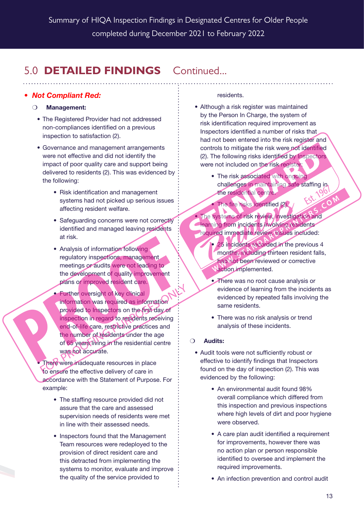#### *• Not Compliant Red:*

#### ❍ Management:

- The Registered Provider had not addressed non-compliances identified on a previous inspection to satisfaction (2).
- Governance and management arrangements were not effective and did not identify the impact of poor quality care and support being delivered to residents (2). This was evidenced by the following:
	- Risk identification and management systems had not picked up serious issues affecting resident welfare.
	- Safeguarding concerns were not correctly identified and managed leaving residents at risk.
	- Analysis of information following regulatory inspections, management meetings or audits were not leading to the development of quality improvement plans or improved resident care.
	- Further oversight of key clinical information was required as information provided to Inspectors on the first day of inspection in regard to residents receiving end-of-life care, restrictive practices and the number of residents under the age of 65 years living in the residential centre was not accurate.
- There were inadequate resources in place to ensure the effective delivery of care in accordance with the Statement of Purpose. For example:
	- The staffing resource provided did not assure that the care and assessed supervision needs of residents were met in line with their assessed needs.
	- Inspectors found that the Management Team resources were redeployed to the provision of direct resident care and this detracted from implementing the systems to monitor, evaluate and improve the quality of the service provided to

#### residents.

• Although a risk register was maintained by the Person In Charge, the system of risk identification required improvement as Inspectors identified a number of risks that had not been entered into the risk register and controls to mitigate the risk were not identified (2). The following risks identified by Inspectors were not included on the risk register:

- The risk associated with ongoing challenges in maintaining safe staffing in the residential centre.
- The fire risks identified (2).
- The systems of risk review, investigation and learning from incidents involving residents required immediate review. Issues included:
	- 25 incidents recorded in the previous 4 months, including thirteen resident falls, had not been reviewed or corrective action implemented.
	- There was no root cause analysis or evidence of learning from the incidents as evidenced by repeated falls involving the same residents.
	- There was no risk analysis or trend analysis of these incidents.

#### ❍ Audits:

- Audit tools were not sufficiently robust or effective to identify findings that Inspectors found on the day of inspection (2). This was evidenced by the following:
	- An environmental audit found 98% overall compliance which differed from this inspection and previous inspections where high levels of dirt and poor hygiene were observed.
	- A care plan audit identified a requirement for improvements, however there was no action plan or person responsible identified to oversee and implement the required improvements.
	- An infection prevention and control audit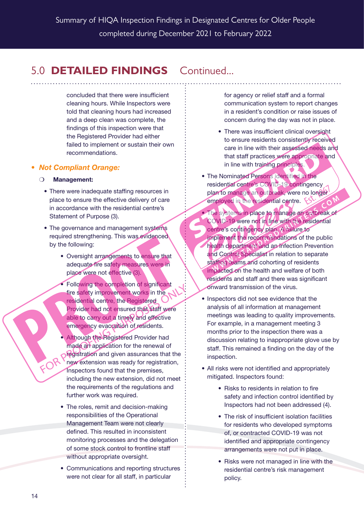concluded that there were insufficient cleaning hours. While Inspectors were told that cleaning hours had increased and a deep clean was complete, the findings of this inspection were that the Registered Provider had either failed to implement or sustain their own recommendations.

#### *• Not Compliant Orange:*

#### ❍ Management:

- There were inadequate staffing resources in place to ensure the effective delivery of care in accordance with the residential centre's Statement of Purpose (3).
- The governance and management systems required strengthening. This was evidenced by the following:
	- Oversight arrangements to ensure that adequate fire safety measures were in place were not effective (3).
	- Following the completion of significant fire safety improvement works in the residential centre, the Registered Provider had not ensured that staff were able to carry out a timely and effective emergency evacuation of residents.
	- Although the Registered Provider had made an application for the renewal of registration and given assurances that the new extension was ready for registration, Inspectors found that the premises, including the new extension, did not meet the requirements of the regulations and further work was required.
	- The roles, remit and decision-making responsibilities of the Operational Management Team were not clearly defined. This resulted in inconsistent monitoring processes and the delegation of some stock control to frontline staff without appropriate oversight.
	- Communications and reporting structures were not clear for all staff, in particular

for agency or relief staff and a formal communication system to report changes in a resident's condition or raise issues of concern during the day was not in place.

- There was insufficient clinical oversight to ensure residents consistently received care in line with their assessed needs and that staff practices were appropriate and in line with training principles.
- The Nominated Persons identified in the residential centre's COVID-19 contingency plan to manage an outbreak, were no longer employed in the residential centre.
- The systems in place to manage an outbreak of COVID-19 were not in line with the residential centre's contingency plan. A failure to implement the recommendations of the public health department and an Infection Prevention and Control Specialist in relation to separate staffing teams and cohorting of residents impacted on the health and welfare of both residents and staff and there was significant onward transmission of the virus.
- Inspectors did not see evidence that the analysis of all information at management meetings was leading to quality improvements. For example, in a management meeting 3 months prior to the inspection there was a discussion relating to inappropriate glove use by staff. This remained a finding on the day of the inspection.
- All risks were not identified and appropriately mitigated. Inspectors found:
	- Risks to residents in relation to fire safety and infection control identified by Inspectors had not been addressed (4).
	- The risk of insufficient isolation facilities for residents who developed symptoms of, or contracted COVID-19 was not identified and appropriate contingency arrangements were not put in place.
	- Risks were not managed in line with the residential centre's risk management policy.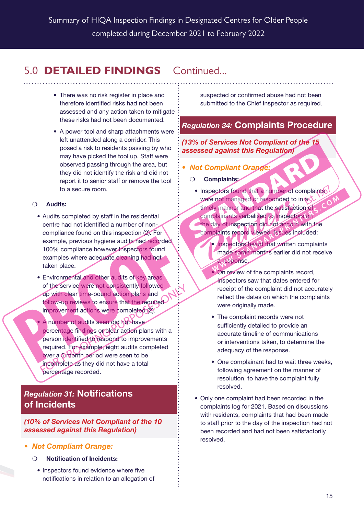- There was no risk register in place and therefore identified risks had not been assessed and any action taken to mitigate these risks had not been documented.
- A power tool and sharp attachments were left unattended along a corridor. This posed a risk to residents passing by who may have picked the tool up. Staff were observed passing through the area, but they did not identify the risk and did not report it to senior staff or remove the tool to a secure room.

#### ❍ Audits:

- Audits completed by staff in the residential centre had not identified a number of noncompliance found on this inspection (2). For example, previous hygiene audits had recorded 100% compliance however Inspectors found examples where adequate cleaning had not taken place.
- Environmental and other audits of key areas of the service were not consistently followed up with clear time-bound action plans and follow-up reviews to ensure that the required improvement actions were completed (2).
- A number of audits seen did not have percentage findings or clear action plans with a person identified to respond to improvements required. For example, eight audits completed over a 5 month period were seen to be incomplete as they did not have a total percentage recorded.

## *Regulation 31:* Notifications of Incidents

#### *(10% of Services Not Compliant of the 10 assessed against this Regulation)*

#### *• Not Compliant Orange:*

- ❍ Notification of Incidents:
	- Inspectors found evidence where five notifications in relation to an allegation of

suspected or confirmed abuse had not been submitted to the Chief Inspector as required.

#### *Regulation 34:* Complaints Procedure

#### *(13% of Services Not Compliant of the 15 assessed against this Regulation)*

#### *• Not Compliant Orange:*

#### ❍ Complaints:

- Inspectors found that a number of complaints were not managed or responded to in a timely manner and that the satisfaction of complainants verbalised to Inspectors on the day of inspection did not accord with the complaints record viewed. Issues included:
	- Inspectors heard that written complaints made some months earlier did not receive a response.
	- On review of the complaints record, Inspectors saw that dates entered for receipt of the complaint did not accurately reflect the dates on which the complaints were originally made.
	- The complaint records were not sufficiently detailed to provide an accurate timeline of communications or interventions taken, to determine the adequacy of the response.
	- One complainant had to wait three weeks, following agreement on the manner of resolution, to have the complaint fully resolved.
- Only one complaint had been recorded in the complaints log for 2021. Based on discussions with residents, complaints that had been made to staff prior to the day of the inspection had not been recorded and had not been satisfactorily resolved.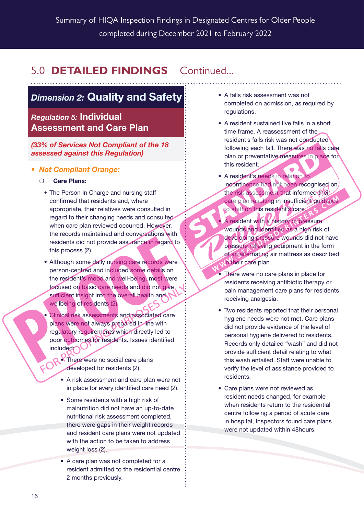# *Dimension 2:* Quality and Safety

#### *Regulation 5:* Individual Assessment and Care Plan

#### *(33% of Services Not Compliant of the 18 assessed against this Regulation)*

#### *• Not Compliant Orange:*

#### ❍ Care Plans:

- The Person In Charge and nursing staff confirmed that residents and, where appropriate, their relatives were consulted in regard to their changing needs and consulted when care plan reviewed occurred. However, the records maintained and conversations with residents did not provide assurance in regard to this process (2).
- Although some daily nursing care records were person-centred and included some details on the resident's mood and well-being, most were focused on basic care needs and did not give sufficient insight into the overall health and wellbeing of residents (2).
- Clinical risk assessments and associated care plans were not always prepared in line with regulatory requirements which directly led to poor outcomes for residents. Issues identified included:
	- There were no social care plans developed for residents (2).
	- A risk assessment and care plan were not in place for every identified care need (2).
	- Some residents with a high risk of malnutrition did not have an up-to-date nutritional risk assessment completed, there were gaps in their weight records and resident care plans were not updated with the action to be taken to address weight loss (2).
	- A care plan was not completed for a resident admitted to the residential centre 2 months previously.
- A falls risk assessment was not completed on admission, as required by regulations.
- A resident sustained five falls in a short time frame. A reassessment of the resident's falls risk was not conducted following each fall. There was no falls care plan or preventative measures in place for this resident.
- A resident's needs in relation to incontinence had not been recognised on the risk assessment that informed their care plan resulting in insufficient guidance to staff on this resident's care.
- A resident with a history of pressure wounds and identified as a high risk of developing pressure wounds did not have pressure relieving equipment in the form of an alternating air mattress as described in their care plan.
- There were no care plans in place for residents receiving antibiotic therapy or pain management care plans for residents receiving analgesia.
- Two residents reported that their personal hygiene needs were not met. Care plans did not provide evidence of the level of personal hygiene delivered to residents. Records only detailed "wash" and did not provide sufficient detail relating to what this wash entailed. Staff were unable to verify the level of assistance provided to residents.
- Care plans were not reviewed as resident needs changed, for example when residents return to the residential centre following a period of acute care in hospital, Inspectors found care plans were not updated within 48hours.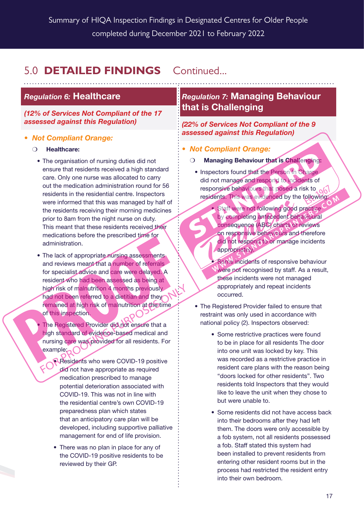#### *Regulation 6:* Healthcare

*(12% of Services Not Compliant of the 17 assessed against this Regulation)* 

#### *• Not Compliant Orange:*

#### ❍ Healthcare:

- The organisation of nursing duties did not ensure that residents received a high standard care. Only one nurse was allocated to carry out the medication administration round for 56 residents in the residential centre. Inspectors were informed that this was managed by half of the residents receiving their morning medicines prior to 8am from the night nurse on duty. This meant that these residents received their medications before the prescribed time for administration.
- The lack of appropriate nursing assessments and reviews meant that a number of referrals for specialist advice and care were delayed. A resident who had been assessed as being at high risk of malnutrition 4 months previously had not been referred to a dietitian and they remained at high risk of malnutrition at the time of this inspection.
- The Registered Provider did not ensure that a high standard of evidence-based medical and nursing care was provided for all residents. For example:
	- Residents who were COVID-19 positive did not have appropriate as required medication prescribed to manage potential deterioration associated with COVID-19. This was not in line with the residential centre's own COVID-19 preparedness plan which states that an anticipatory care plan will be developed, including supportive palliative management for end of life provision.
	- There was no plan in place for any of the COVID-19 positive residents to be reviewed by their GP.

# *Regulation 7:* Managing Behaviour that is Challenging

*(22% of Services Not Compliant of the 9 assessed against this Regulation)* 

- ❍ Managing Behaviour that is Challenging:
	- Inspectors found that the Person In Charge did not manage and respond to incidents of responsive behaviours that posed a risk to residents. This was evidenced by the following:
		- Staff were not following good practice by completing antecedent behavioural consequence (ABC) charts or reviews on responsive behaviours and therefore did not respond to or manage incidents appropriately.
		- Some incidents of responsive behaviour were not recognised by staff. As a result, these incidents were not managed appropriately and repeat incidents occurred.
	- The Registered Provider failed to ensure that restraint was only used in accordance with national policy (2). Inspectors observed:
		- Some restrictive practices were found to be in place for all residents The door into one unit was locked by key. This was recorded as a restrictive practice in resident care plans with the reason being "doors locked for other residents". Two residents told Inspectors that they would like to leave the unit when they chose to but were unable to.
		- Some residents did not have access back into their bedrooms after they had left them. The doors were only accessible by a fob system, not all residents possessed a fob. Staff stated this system had been installed to prevent residents from entering other resident rooms but in the process had restricted the resident entry into their own bedroom.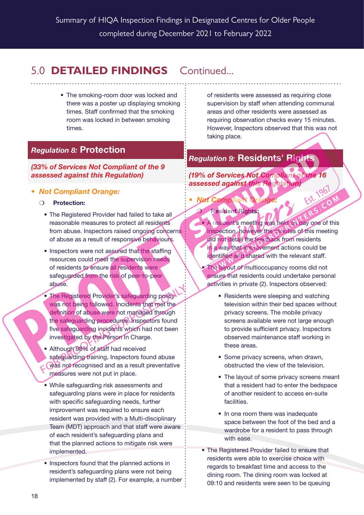• The smoking-room door was locked and there was a poster up displaying smoking times. Staff confirmed that the smoking room was locked in between smoking times.

#### *Regulation 8:* Protection

*(33% of Services Not Compliant of the 9 assessed against this Regulation)* 

#### *• Not Compliant Orange:*

- ❍ Protection:
	- The Registered Provider had failed to take all reasonable measures to protect all residents from abuse. Inspectors raised ongoing concerns of abuse as a result of responsive behaviours.
	- Inspectors were not assured that the staffing resources could meet the supervision needs of residents to ensure all residents were safeguarded from the risk of peer-to-peer abuse.
	- The Registered Provider's safeguarding policy was not being followed. Incidents that met the definition of abuse were not managed through the safeguarding procedures. Inspectors found five safeguarding incidents which had not been investigated by the Person In Charge.
	- Although 98% of staff had received safeguarding training, Inspectors found abuse was not recognised and as a result preventative measures were not put in place.
	- While safeguarding risk assessments and safeguarding plans were in place for residents with specific safeguarding needs, further improvement was required to ensure each resident was provided with a Multi-disciplinary Team (MDT) approach and that staff were aware of each resident's safeguarding plans and that the planned actions to mitigate risk were implemented.
	- Inspectors found that the planned actions in resident's safeguarding plans were not being implemented by staff (2). For example, a number

of residents were assessed as requiring close supervision by staff when attending communal areas and other residents were assessed as requiring observation checks every 15 minutes. However, Inspectors observed that this was not taking place.

#### *Regulation 9:* Residents' Rights

#### *(19% of Services Not Compliant of the 16 assessed against this Regulation)*

- ❍ Resident Rights:
	- A resident's meeting was held on day one of this Inspection, however the minutes of this meeting did not detail the feedback from residents in a way that improvement actions could be identified and shared with the relevant staff.
	- The layout of multioccupancy rooms did not ensure that residents could undertake personal activities in private (2). Inspectors observed:
		- Residents were sleeping and watching television within their bed spaces without privacy screens. The mobile privacy screens available were not large enough to provide sufficient privacy. Inspectors observed maintenance staff working in these areas.
		- Some privacy screens, when drawn, obstructed the view of the television.
		- The layout of some privacy screens meant that a resident had to enter the bedspace of another resident to access en-suite facilities.
		- In one room there was inadequate space between the foot of the bed and a wardrobe for a resident to pass through with ease.
	- The Registered Provider failed to ensure that residents were able to exercise choice with regards to breakfast time and access to the dining room. The dining room was locked at 09:10 and residents were seen to be queuing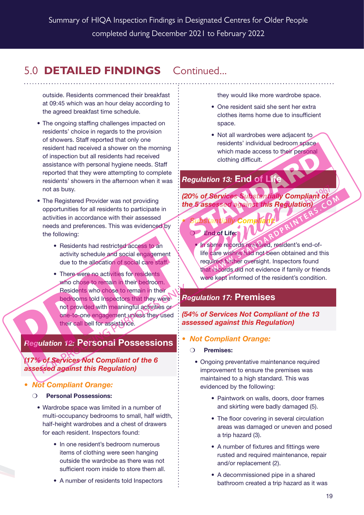outside. Residents commenced their breakfast at 09:45 which was an hour delay according to the agreed breakfast time schedule.

- The ongoing staffing challenges impacted on residents' choice in regards to the provision of showers. Staff reported that only one resident had received a shower on the morning of inspection but all residents had received assistance with personal hygiene needs. Staff reported that they were attempting to complete residents' showers in the afternoon when it was not as busy.
- The Registered Provider was not providing opportunities for all residents to participate in activities in accordance with their assessed needs and preferences. This was evidenced by the following:
	- Residents had restricted access to an activity schedule and social engagement due to the allocation of social care staff.
	- There were no activities for residents who chose to remain in their bedroom. Residents who chose to remain in their bedrooms told Inspectors that they were not provided with meaningful activities or one-to-one engagement unless they used their call bell for assistance.

#### *Regulation 12:* Personal Possessions

*(17% of Services Not Compliant of the 6 assessed against this Regulation)*

#### *• Not Compliant Orange:*

- ❍ Personal Possessions:
	- Wardrobe space was limited in a number of multi-occupancy bedrooms to small, half width, half-height wardrobes and a chest of drawers for each resident. Inspectors found:
		- In one resident's bedroom numerous items of clothing were seen hanging outside the wardrobe as there was not sufficient room inside to store them all.
		- A number of residents told Inspectors

they would like more wardrobe space.

- One resident said she sent her extra clothes items home due to insufficient space.
- Not all wardrobes were adjacent to residents' individual bedroom space which made access to their personal clothing difficult.

#### *Regulation 13:* End of Life

*(20% of Services Substantially Compliant of the 5 assessed against this Regulation)*

#### *• Substantially Compliant:*

- ❍ End of Life:
- In some records reviewed, resident's end-oflife care wishes had not been obtained and this required further oversight. Inspectors found that records did not evidence if family or friends were kept informed of the resident's condition.

#### *Regulation 17:* Premises

#### *(54% of Services Not Compliant of the 13 assessed against this Regulation)*

- ❍ Premises:
	- Ongoing preventative maintenance required improvement to ensure the premises was maintained to a high standard. This was evidenced by the following:
		- Paintwork on walls, doors, door frames and skirting were badly damaged (5).
		- The floor covering in several circulation areas was damaged or uneven and posed a trip hazard (3).
		- A number of fixtures and fittings were rusted and required maintenance, repair and/or replacement (2).
		- A decommissioned pipe in a shared bathroom created a trip hazard as it was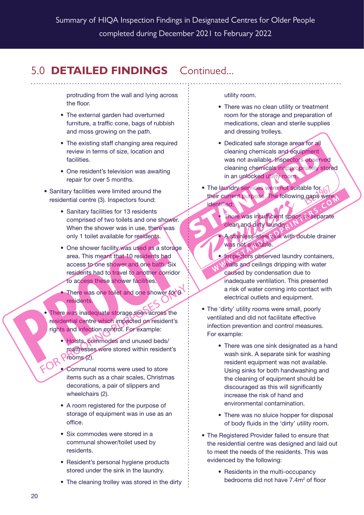protruding from the wall and lying across the floor.

- The external garden had overturned furniture, a traffic cone, bags of rubbish and moss growing on the path.
- The existing staff changing area required review in terms of size, location and **facilities**
- One resident's television was awaiting repair for over 5 months.
- Sanitary facilities were limited around the residential centre (3). Inspectors found:
	- Sanitary facilities for 13 residents comprised of two toilets and one shower. When the shower was in use, there was only 1 toilet available for residents.
	- One shower facility was used as a storage area. This meant that 10 residents had access to one shower and one bath. Six residents had to travel to another corridor to access these shower facilities.
	- There was one toilet and one shower for 9 residents.
- There was inadequate storage seen across the residential centre which impacted on resident's rights and infection control. For example:
	- Hoists, commodes and unused beds/ mattresses were stored within resident's rooms (2).
	- Communal rooms were used to store items such as a chair scales, Christmas decorations, a pair of slippers and wheelchairs (2).
	- A room registered for the purpose of storage of equipment was in use as an office.
	- Six commodes were stored in a communal shower/toilet used by residents.
	- Resident's personal hygiene products stored under the sink in the laundry.
	- The cleaning trolley was stored in the dirty

#### utility room.

• There was no clean utility or treatment room for the storage and preparation of medications, clean and sterile supplies and dressing trolleys.

- Dedicated safe storage areas for all cleaning chemicals and equipment was not available. Inspectors observed cleaning chemicals inappropriately stored in an unlocked utility room.
- The laundry services were not suitable for their current purpose. The following gaps were identified:
	- There was insufficient space to separate clean and dirty laundry.
	- A stainless-steel sink with double drainer was not available.
	- Inspectors observed laundry containers, walls and ceilings dripping with water caused by condensation due to inadequate ventilation. This presented a risk of water coming into contact with electrical outlets and equipment.
- The 'dirty' utility rooms were small, poorly ventilated and did not facilitate effective infection prevention and control measures. For example:
	- There was one sink designated as a hand wash sink. A separate sink for washing resident equipment was not available. Using sinks for both handwashing and the cleaning of equipment should be discouraged as this will significantly increase the risk of hand and environmental contamination.
	- There was no sluice hopper for disposal of body fluids in the 'dirty' utility room.
- The Registered Provider failed to ensure that the residential centre was designed and laid out to meet the needs of the residents. This was evidenced by the following:
	- Residents in the multi-occupancy bedrooms did not have 7.4m<sup>2</sup> of floor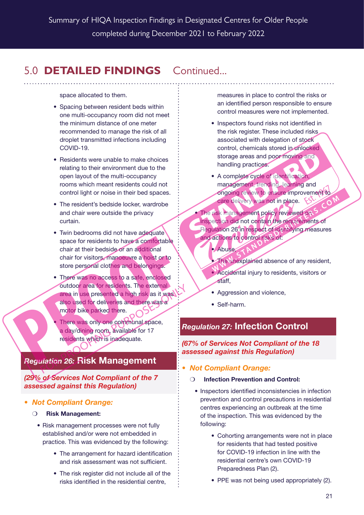space allocated to them.

- Spacing between resident beds within one multi-occupancy room did not meet the minimum distance of one meter recommended to manage the risk of all droplet transmitted infections including COVID-19.
- Residents were unable to make choices relating to their environment due to the open layout of the multi-occupancy rooms which meant residents could not control light or noise in their bed spaces.
- The resident's bedside locker, wardrobe and chair were outside the privacy curtain.
- Twin bedrooms did not have adequate space for residents to have a comfortable chair at their bedside or an additional chair for visitors, manoeuvre a hoist or to store personal clothes and belongings.
- There was no access to a safe, enclosed outdoor area for residents. The external area in use presented a high risk as it was also used for deliveries and there was a motor bike parked there.
- There was only one communal space, a day/dining room, available for 17 residents which is inadequate.

#### *Regulation 26:* Risk Management

*(29% of Services Not Compliant of the 7 assessed against this Regulation)*

#### *• Not Compliant Orange:*

#### O Risk Management:

- Risk management processes were not fully established and/or were not embedded in practice. This was evidenced by the following:
	- The arrangement for hazard identification and risk assessment was not sufficient.
	- The risk register did not include all of the risks identified in the residential centre,

measures in place to control the risks or an identified person responsible to ensure control measures were not implemented.

- Inspectors found risks not identified in the risk register. These included risks associated with delegation of stock control, chemicals stored in unlocked storage areas and poor moving and handling practices.
- A complete cycle of identification, management, trending, learning and ongoing review to ensure improvement to care delivery was not in place.
- The risk management policy reviewed on inspection did not contain the requirements of Regulation 26 in respect of identifying measures and actions to control risks of:
	- Abuse,
	- The unexplained absence of any resident,
	- Accidental injury to residents, visitors or staff,
	- Aggression and violence,
	- Self-harm.

#### *Regulation 27:* Infection Control

*(67% of Services Not Compliant of the 18 assessed against this Regulation)*

- O Infection Prevention and Control:
	- Inspectors identified inconsistencies in infection prevention and control precautions in residential centres experiencing an outbreak at the time of the inspection. This was evidenced by the following:
		- Cohorting arrangements were not in place for residents that had tested positive for COVID-19 infection in line with the residential centre's own COVID-19 Preparedness Plan (2).
		- PPE was not being used appropriately (2).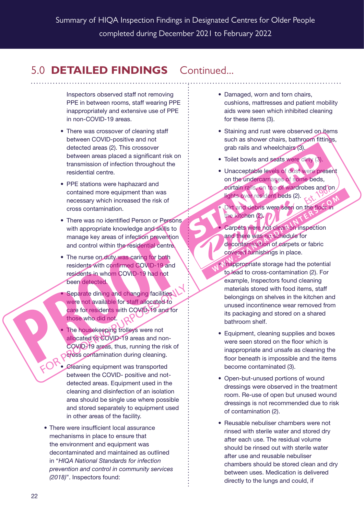Inspectors observed staff not removing PPE in between rooms, staff wearing PPE inappropriately and extensive use of PPE in non-COVID-19 areas.

- There was crossover of cleaning staff between COVID-positive and not detected areas (2). This crossover between areas placed a significant risk on transmission of infection throughout the residential centre.
- PPE stations were haphazard and contained more equipment than was necessary which increased the risk of cross contamination.
- There was no identified Person or Persons with appropriate knowledge and skills to manage key areas of infection prevention and control within the residential centre.
- The nurse on duty was caring for both residents with confirmed COVID-19 and residents in whom COVID-19 had not been detected.
- Separate dining and changing facilities were not available for staff allocated to care for residents with COVID-19 and for those who did not.
- The housekeeping trolleys were not allocated to COVID-19 areas and non-COVID-19 areas, thus, running the risk of cross contamination during cleaning.
- Cleaning equipment was transported between the COVID- positive and notdetected areas. Equipment used in the cleaning and disinfection of an isolation area should be single use where possible and stored separately to equipment used in other areas of the facility.
- There were insufficient local assurance mechanisms in place to ensure that the environment and equipment was decontaminated and maintained as outlined in "*HIQA National Standards for infection prevention and control in community services (2018)*". Inspectors found:
- Damaged, worn and torn chairs, cushions, mattresses and patient mobility aids were seen which inhibited cleaning for these items (3).
- Staining and rust were observed on items such as shower chairs, bathroom fittings, grab rails and wheelchairs (3).
- Toilet bowls and seats were dirty (3).
- Unacceptable levels of dust were present on the undercarriages of some beds, curtain rails, on top of wardrobes and on lights over resident beds (2).
- Dirt and debris were seen on the floor in the kitchen (2).
- Carpets were not clean on inspection and there was no schedule for decontamination of carpets or fabric covered furnishings in place.
- Inappropriate storage had the potential to lead to cross-contamination (2). For example, Inspectors found cleaning materials stored with food items, staff belongings on shelves in the kitchen and unused incontinence wear removed from its packaging and stored on a shared bathroom shelf.
- Equipment, cleaning supplies and boxes were seen stored on the floor which is inappropriate and unsafe as cleaning the floor beneath is impossible and the items become contaminated (3).
- Open-but-unused portions of wound dressings were observed in the treatment room. Re-use of open but unused wound dressings is not recommended due to risk of contamination (2).
- Reusable nebuliser chambers were not rinsed with sterile water and stored dry after each use. The residual volume should be rinsed out with sterile water after use and reusable nebuliser chambers should be stored clean and dry between uses. Medication is delivered directly to the lungs and could, if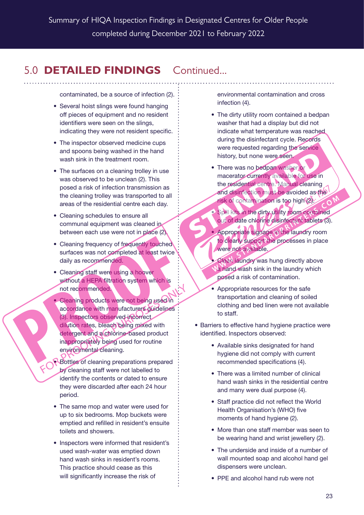contaminated, be a source of infection (2).

- Several hoist slings were found hanging off pieces of equipment and no resident identifiers were seen on the slings, indicating they were not resident specific.
- The inspector observed medicine cups and spoons being washed in the hand wash sink in the treatment room.
- The surfaces on a cleaning trolley in use was observed to be unclean (2). This posed a risk of infection transmission as the cleaning trolley was transported to all areas of the residential centre each day.
- Cleaning schedules to ensure all communal equipment was cleaned in between each use were not in place (2).
- Cleaning frequency of frequently touched surfaces was not completed at least twice daily as recommended.
- Cleaning staff were using a hoover without a HEPA filtration system which is not recommended.
- Cleaning products were not being used in accordance with manufacturers guidelines (3). Inspectors observed incorrect dilution rates, bleach being mixed with detergent and a chlorine-based product inappropriately being used for routine environmental cleaning.
- Bottles of cleaning preparations prepared by cleaning staff were not labelled to identify the contents or dated to ensure they were discarded after each 24 hour period.
- The same mop and water were used for up to six bedrooms. Mop buckets were emptied and refilled in resident's ensuite toilets and showers.
- Inspectors were informed that resident's used wash-water was emptied down hand wash sinks in resident's rooms. This practice should cease as this will significantly increase the risk of

environmental contamination and cross infection (4).

- The dirty utility room contained a bedpan washer that had a display but did not indicate what temperature was reached during the disinfectant cycle. Records were requested regarding the service history, but none were seen.
- There was no bedpan washer or macerator currently available for use in the residential centre. Manual cleaning and disinfection must be avoided as the risk of contamination is too high (2).
- Spill kits in the dirty utility room contained out of date chlorine disinfectant tablets (3).
- Appropriate signage in the laundry room to clearly support the processes in place were not available.
- Clean laundry was hung directly above a hand wash sink in the laundry which posed a risk of contamination.
- Appropriate resources for the safe transportation and cleaning of soiled clothing and bed linen were not available to staff.
- Barriers to effective hand hygiene practice were identified. Inspectors observed:
	- Available sinks designated for hand hygiene did not comply with current recommended specifications (4).
	- There was a limited number of clinical hand wash sinks in the residential centre and many were dual purpose (4).
	- Staff practice did not reflect the World Health Organisation's (WHO) five moments of hand hygiene (2).
	- More than one staff member was seen to be wearing hand and wrist jewellery (2).
	- The underside and inside of a number of wall mounted soap and alcohol hand gel dispensers were unclean.
	- PPE and alcohol hand rub were not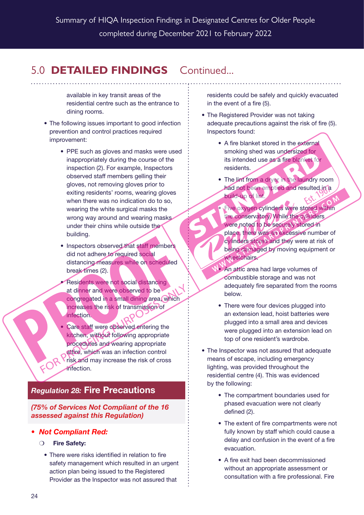available in key transit areas of the residential centre such as the entrance to dining rooms.

- The following issues important to good infection prevention and control practices required improvement:
	- PPE such as gloves and masks were used inappropriately during the course of the inspection (2). For example, Inspectors observed staff members gelling their gloves, not removing gloves prior to exiting residents' rooms, wearing gloves when there was no indication do to so, wearing the white surgical masks the wrong way around and wearing masks under their chins while outside the building.
	- Inspectors observed that staff members did not adhere to required social distancing measures while on scheduled break times (2).
	- Residents were not social distancing at dinner and were observed to be congregated in a small dining area, which increases the risk of transmission of infection.
	- Care staff were observed entering the kitchen, without following appropriate procedures and wearing appropriate attire, which was an infection control risk and may increase the risk of cross infection.

#### *Regulation 28:* Fire Precautions

*(75% of Services Not Compliant of the 16 assessed against this Regulation)* 

#### *• Not Compliant Red:*

- ❍ Fire Safety:
	- There were risks identified in relation to fire safety management which resulted in an urgent action plan being issued to the Registered Provider as the Inspector was not assured that

residents could be safely and quickly evacuated in the event of a fire (5).

- The Registered Provider was not taking adequate precautions against the risk of fire (5). Inspectors found:
	- A fire blanket stored in the external smoking shed was undersized for its intended use as a fire blanket for residents.
	- The lint from a dryer in the laundry room had not been emptied and resulted in a build-up of lint.
	- Five oxygen cylinders were stored within the conservatory. While the cylinders were noted to be securely stored in place, there was an excessive number of cylinders stored and they were at risk of being damaged by moving equipment or wheelchairs.
	- An attic area had large volumes of combustible storage and was not adequately fire separated from the rooms below.
	- There were four devices plugged into an extension lead, hoist batteries were plugged into a small area and devices were plugged into an extension lead on top of one resident's wardrobe.
- The Inspector was not assured that adequate means of escape, including emergency lighting, was provided throughout the residential centre (4). This was evidenced by the following:
	- The compartment boundaries used for phased evacuation were not clearly defined (2).
	- The extent of fire compartments were not fully known by staff which could cause a delay and confusion in the event of a fire evacuation.
	- A fire exit had been decommissioned without an appropriate assessment or consultation with a fire professional. Fire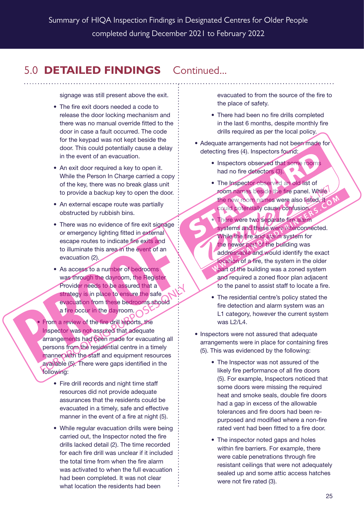signage was still present above the exit.

- The fire exit doors needed a code to release the door locking mechanism and there was no manual override fitted to the door in case a fault occurred. The code for the keypad was not kept beside the door. This could potentially cause a delay in the event of an evacuation.
- An exit door required a key to open it. While the Person In Charge carried a copy of the key, there was no break glass unit to provide a backup key to open the door.
- An external escape route was partially obstructed by rubbish bins.
- There was no evidence of fire exit signage or emergency lighting fitted in external escape routes to indicate fire exits and to illuminate this area in the event of an evacuation (2).
- As access to a number of bedrooms was through the dayroom, the Register Provider needs to be assured that a strategy is in place to ensure the safe evacuation from these bedrooms should a fire occur in the dayroom.
- From a review of the fire drill reports, the Inspector was not assured that adequate arrangements had been made for evacuating all persons from the residential centre in a timely manner with the staff and equipment resources available (5). There were gaps identified in the following:
	- Fire drill records and night time staff resources did not provide adequate assurances that the residents could be evacuated in a timely, safe and effective manner in the event of a fire at night (5).
	- While regular evacuation drills were being carried out, the Inspector noted the fire drills lacked detail (2). The time recorded for each fire drill was unclear if it included the total time from when the fire alarm was activated to when the full evacuation had been completed. It was not clear what location the residents had been

evacuated to from the source of the fire to the place of safety.

- There had been no fire drills completed in the last 6 months, despite monthly fire drills required as per the local policy.
- Adequate arrangements had not been made for detecting fires (4). Inspectors found:
	- Inspectors observed that some rooms had no fire detectors (3).
	- The Inspector observed an old list of room names beside the fire panel. While the new room names were also listed, it could potentially cause confusion.
	- There were two separate fire alarm systems and these were interconnected. While the fire and alarm system for the newer part of the building was addressable and would identify the exact location of a fire, the system in the older part of the building was a zoned system and required a zoned floor plan adjacent to the panel to assist staff to locate a fire.
	- The residential centre's policy stated the fire detection and alarm system was an L1 category, however the current system was L2/L4.
- Inspectors were not assured that adequate arrangements were in place for containing fires (5). This was evidenced by the following:
	- The Inspector was not assured of the likely fire performance of all fire doors (5). For example, Inspectors noticed that some doors were missing the required heat and smoke seals, double fire doors had a gap in excess of the allowable tolerances and fire doors had been repurposed and modified where a non-fire rated vent had been fitted to a fire door.
	- The inspector noted gaps and holes within fire barriers. For example, there were cable penetrations through fire resistant ceilings that were not adequately sealed up and some attic access hatches were not fire rated (3).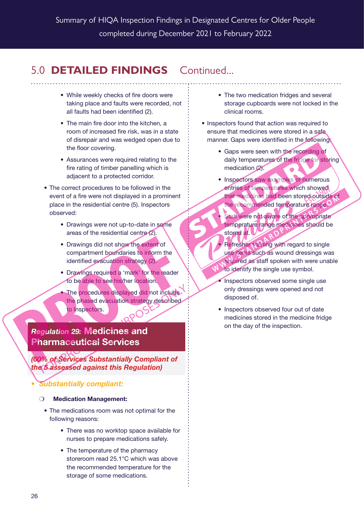- While weekly checks of fire doors were taking place and faults were recorded, not all faults had been identified (2).
- The main fire door into the kitchen, a room of increased fire risk, was in a state of disrepair and was wedged open due to the floor covering.
- Assurances were required relating to the fire rating of timber panelling which is adjacent to a protected corridor.
- The correct procedures to be followed in the event of a fire were not displayed in a prominent place in the residential centre (5). Inspectors observed:
	- Drawings were not up-to-date in some areas of the residential centre (2).
	- Drawings did not show the extent of compartment boundaries to inform the identified evacuation strategy (2).
	- Drawings required a 'mark' for the reader to be able to see his/her location.
	- The procedures displayed did not include the phased evacuation strategy described to Inspectors.

#### *Regulation 29:* Medicines and Pharmaceutical Services

*(60% of Services Substantially Compliant of the 5 assessed against this Regulation)*

- *• Substantially compliant:*
	- O Medication Management:
		- The medications room was not optimal for the following reasons:
			- There was no worktop space available for nurses to prepare medications safely.
			- The temperature of the pharmacy storeroom read 25.1°C which was above the recommended temperature for the storage of some medications.

š

- The two medication fridges and several storage cupboards were not locked in the clinical rooms.
- Inspectors found that action was required to ensure that medicines were stored in a safe manner. Gaps were identified in the following:
	- Gaps were seen with the recording of daily temperatures of the fridge for storing medication (2).
	- Inspectors saw examples of numerous entries of temperatures which showed that medicines had been stored outside of the recommended temperature range.
	- Staff were not aware of the appropriate temperature range medicines should be stored at.
	- Refresher training with regard to single use items such as wound dressings was required as staff spoken with were unable to identify the single use symbol.
	- Inspectors observed some single use only dressings were opened and not disposed of.
	- Inspectors observed four out of date medicines stored in the medicine fridge on the day of the inspection.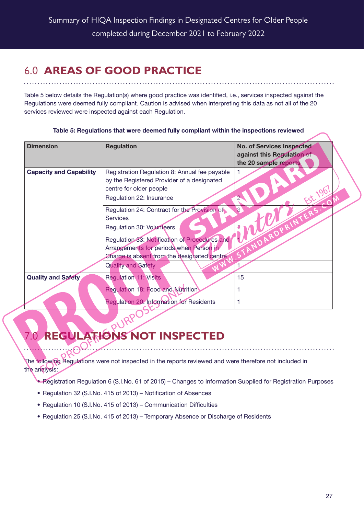# 6.0 **AREAS OF GOOD PRACTICE**

Table 5 below details the Regulation(s) where good practice was identified, i.e., services inspected against the Regulations were deemed fully compliant. Caution is advised when interpreting this data as not all of the 20 services reviewed were inspected against each Regulation.

| <b>Dimension</b>               | <b>Regulation</b>                                                                                                                       | <b>No. of Services Inspected</b><br>against this Regulation of<br>the 20 sample reports |
|--------------------------------|-----------------------------------------------------------------------------------------------------------------------------------------|-----------------------------------------------------------------------------------------|
| <b>Capacity and Capability</b> | Registration Regulation 8: Annual fee payable<br>by the Registered Provider of a designated<br>centre for older people                  | 1                                                                                       |
|                                | Regulation 22: Insurance                                                                                                                | 2                                                                                       |
|                                | Regulation 24: Contract for the Provision of<br>Services                                                                                | 3                                                                                       |
|                                | Regulation 30: Volunteers                                                                                                               |                                                                                         |
|                                | Regulation 33: Notification of Procedures and<br>Arrangements for periods when Person in<br>Charge is absent from the designated centre | 1                                                                                       |
|                                | <b>Quality and Safety</b>                                                                                                               |                                                                                         |
| <b>Quality and Safety</b>      | <b>Regulation 11: Visits</b>                                                                                                            | 15                                                                                      |
|                                | Regulation 18: Food and Nutrition                                                                                                       | 1                                                                                       |
|                                | Regulation 20: Information for Residents                                                                                                |                                                                                         |

Table 5: Regulations that were deemed fully compliant within the inspections reviewed

# 7.0 **REGULATIONS NOT INSPECTED**

The following Regulations were not inspected in the reports reviewed and were therefore not included in the analysis:

- Registration Regulation 6 (S.I.No. 61 of 2015) Changes to Information Supplied for Registration Purposes
- Regulation 32 (S.I.No. 415 of 2013) Notification of Absences
- Regulation 10 (S.I.No. 415 of 2013) Communication Difficulties
- Regulation 25 (S.I.No. 415 of 2013) Temporary Absence or Discharge of Residents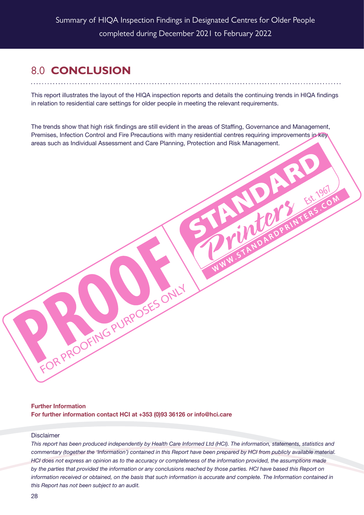# 8.0 **CONCLUSION**

This report illustrates the layout of the HIQA inspection reports and details the continuing trends in HIQA findings in relation to residential care settings for older people in meeting the relevant requirements.

The trends show that high risk findings are still evident in the areas of Staffing, Governance and Management, Premises, Infection Control and Fire Precautions with many residential centres requiring improvements in key areas such as Individual Assessment and Care Planning, Protection and Risk Management.

#### Further Information For further information contact HCI at +353 (0)93 36126 or info@hci.care

#### Disclaimer

*This report has been produced independently by Health Care Informed Ltd (HCI). The information, statements, statistics and commentary (together the 'Information') contained in this Report have been prepared by HCI from publicly available material. HCI does not express an opinion as to the accuracy or completeness of the information provided, the assumptions made by the parties that provided the information or any conclusions reached by those parties. HCI have based this Report on*  information received or obtained, on the basis that such information is accurate and complete. The Information contained in *this Report has not been subject to an audit.*